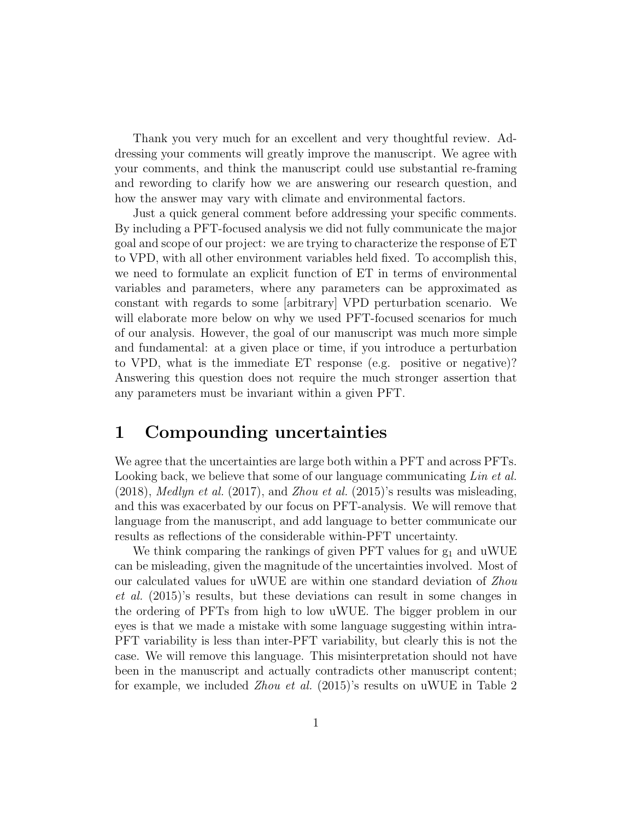Thank you very much for an excellent and very thoughtful review. Addressing your comments will greatly improve the manuscript. We agree with your comments, and think the manuscript could use substantial re-framing and rewording to clarify how we are answering our research question, and how the answer may vary with climate and environmental factors.

Just a quick general comment before addressing your specific comments. By including a PFT-focused analysis we did not fully communicate the major goal and scope of our project: we are trying to characterize the response of ET to VPD, with all other environment variables held fixed. To accomplish this, we need to formulate an explicit function of ET in terms of environmental variables and parameters, where any parameters can be approximated as constant with regards to some [arbitrary] VPD perturbation scenario. We will elaborate more below on why we used PFT-focused scenarios for much of our analysis. However, the goal of our manuscript was much more simple and fundamental: at a given place or time, if you introduce a perturbation to VPD, what is the immediate ET response (e.g. positive or negative)? Answering this question does not require the much stronger assertion that any parameters must be invariant within a given PFT.

## 1 Compounding uncertainties

We agree that the uncertainties are large both within a PFT and across PFTs. Looking back, we believe that some of our language communicating Lin et al.  $(2018)$ , *Medlyn et al.*  $(2017)$ , and *Zhou et al.*  $(2015)$ 's results was misleading, and this was exacerbated by our focus on PFT-analysis. We will remove that language from the manuscript, and add language to better communicate our results as reflections of the considerable within-PFT uncertainty.

We think comparing the rankings of given PFT values for  $g_1$  and uWUE can be misleading, given the magnitude of the uncertainties involved. Most of our calculated values for uWUE are within one standard deviation of Zhou et al. (2015)'s results, but these deviations can result in some changes in the ordering of PFTs from high to low uWUE. The bigger problem in our eyes is that we made a mistake with some language suggesting within intra-PFT variability is less than inter-PFT variability, but clearly this is not the case. We will remove this language. This misinterpretation should not have been in the manuscript and actually contradicts other manuscript content; for example, we included Zhou et al. (2015)'s results on uWUE in Table 2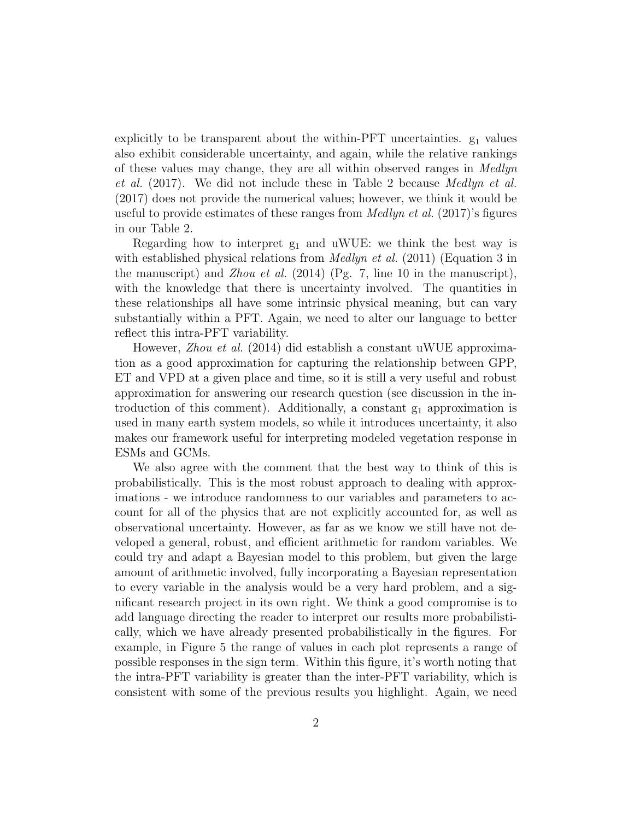explicitly to be transparent about the within- $\text{PFT}$  uncertainties.  $g_1$  values also exhibit considerable uncertainty, and again, while the relative rankings of these values may change, they are all within observed ranges in Medlyn et al. (2017). We did not include these in Table 2 because Medlyn et al. (2017) does not provide the numerical values; however, we think it would be useful to provide estimates of these ranges from  $Medlyn$  et al. (2017)'s figures in our Table 2.

Regarding how to interpret  $g_1$  and uWUE: we think the best way is with established physical relations from  $Medlyn$  et al. (2011) (Equation 3 in the manuscript) and *Zhou et al.* (2014) (Pg. 7, line 10 in the manuscript), with the knowledge that there is uncertainty involved. The quantities in these relationships all have some intrinsic physical meaning, but can vary substantially within a PFT. Again, we need to alter our language to better reflect this intra-PFT variability.

However, *Zhou et al.* (2014) did establish a constant uWUE approximation as a good approximation for capturing the relationship between GPP, ET and VPD at a given place and time, so it is still a very useful and robust approximation for answering our research question (see discussion in the introduction of this comment). Additionally, a constant  $g_1$  approximation is used in many earth system models, so while it introduces uncertainty, it also makes our framework useful for interpreting modeled vegetation response in ESMs and GCMs.

We also agree with the comment that the best way to think of this is probabilistically. This is the most robust approach to dealing with approximations - we introduce randomness to our variables and parameters to account for all of the physics that are not explicitly accounted for, as well as observational uncertainty. However, as far as we know we still have not developed a general, robust, and efficient arithmetic for random variables. We could try and adapt a Bayesian model to this problem, but given the large amount of arithmetic involved, fully incorporating a Bayesian representation to every variable in the analysis would be a very hard problem, and a significant research project in its own right. We think a good compromise is to add language directing the reader to interpret our results more probabilistically, which we have already presented probabilistically in the figures. For example, in Figure 5 the range of values in each plot represents a range of possible responses in the sign term. Within this figure, it's worth noting that the intra-PFT variability is greater than the inter-PFT variability, which is consistent with some of the previous results you highlight. Again, we need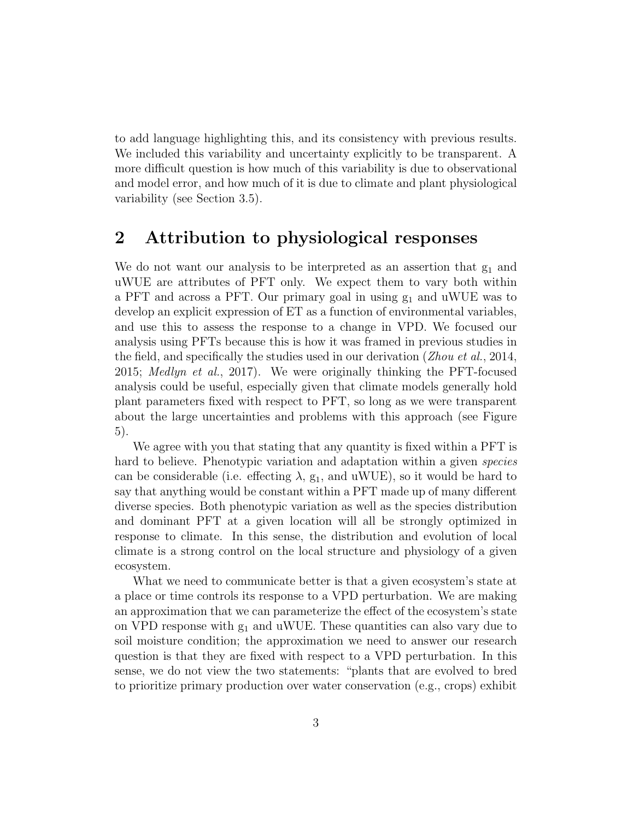to add language highlighting this, and its consistency with previous results. We included this variability and uncertainty explicitly to be transparent. A more difficult question is how much of this variability is due to observational and model error, and how much of it is due to climate and plant physiological variability (see Section 3.5).

## 2 Attribution to physiological responses

We do not want our analysis to be interpreted as an assertion that  $g_1$  and uWUE are attributes of PFT only. We expect them to vary both within a PFT and across a PFT. Our primary goal in using  $g_1$  and uWUE was to develop an explicit expression of ET as a function of environmental variables, and use this to assess the response to a change in VPD. We focused our analysis using PFTs because this is how it was framed in previous studies in the field, and specifically the studies used in our derivation (*Zhou et al.*, 2014, 2015; Medlyn et al., 2017). We were originally thinking the PFT-focused analysis could be useful, especially given that climate models generally hold plant parameters fixed with respect to PFT, so long as we were transparent about the large uncertainties and problems with this approach (see Figure 5).

We agree with you that stating that any quantity is fixed within a PFT is hard to believe. Phenotypic variation and adaptation within a given *species* can be considerable (i.e. effecting  $\lambda$ ,  $g_1$ , and uWUE), so it would be hard to say that anything would be constant within a PFT made up of many different diverse species. Both phenotypic variation as well as the species distribution and dominant PFT at a given location will all be strongly optimized in response to climate. In this sense, the distribution and evolution of local climate is a strong control on the local structure and physiology of a given ecosystem.

What we need to communicate better is that a given ecosystem's state at a place or time controls its response to a VPD perturbation. We are making an approximation that we can parameterize the effect of the ecosystem's state on VPD response with  $g_1$  and uWUE. These quantities can also vary due to soil moisture condition; the approximation we need to answer our research question is that they are fixed with respect to a VPD perturbation. In this sense, we do not view the two statements: "plants that are evolved to bred to prioritize primary production over water conservation (e.g., crops) exhibit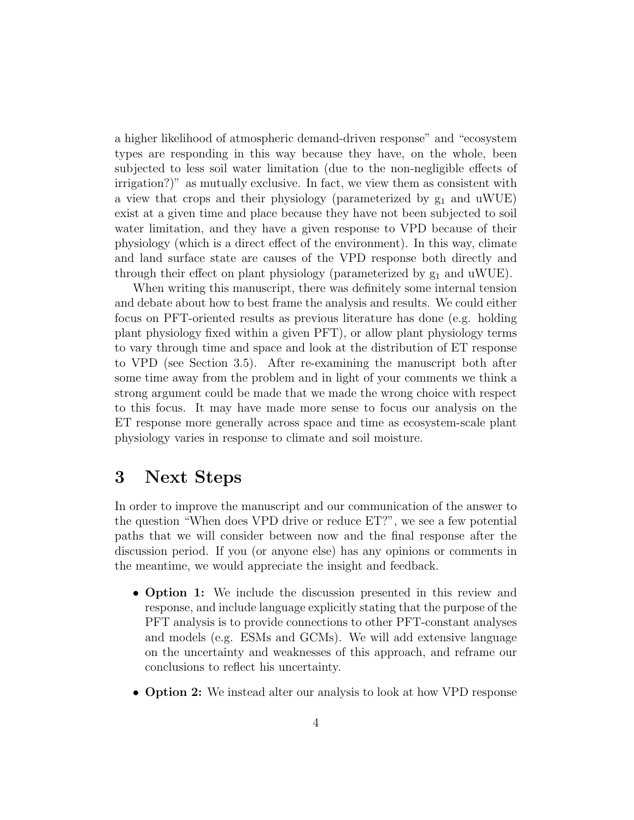a higher likelihood of atmospheric demand-driven response" and "ecosystem types are responding in this way because they have, on the whole, been subjected to less soil water limitation (due to the non-negligible effects of irrigation?)" as mutually exclusive. In fact, we view them as consistent with a view that crops and their physiology (parameterized by  $g_1$  and uWUE) exist at a given time and place because they have not been subjected to soil water limitation, and they have a given response to VPD because of their physiology (which is a direct effect of the environment). In this way, climate and land surface state are causes of the VPD response both directly and through their effect on plant physiology (parameterized by  $g_1$  and uWUE).

When writing this manuscript, there was definitely some internal tension and debate about how to best frame the analysis and results. We could either focus on PFT-oriented results as previous literature has done (e.g. holding plant physiology fixed within a given PFT), or allow plant physiology terms to vary through time and space and look at the distribution of ET response to VPD (see Section 3.5). After re-examining the manuscript both after some time away from the problem and in light of your comments we think a strong argument could be made that we made the wrong choice with respect to this focus. It may have made more sense to focus our analysis on the ET response more generally across space and time as ecosystem-scale plant physiology varies in response to climate and soil moisture.

## 3 Next Steps

In order to improve the manuscript and our communication of the answer to the question "When does VPD drive or reduce ET?", we see a few potential paths that we will consider between now and the final response after the discussion period. If you (or anyone else) has any opinions or comments in the meantime, we would appreciate the insight and feedback.

- **Option 1:** We include the discussion presented in this review and response, and include language explicitly stating that the purpose of the PFT analysis is to provide connections to other PFT-constant analyses and models (e.g. ESMs and GCMs). We will add extensive language on the uncertainty and weaknesses of this approach, and reframe our conclusions to reflect his uncertainty.
- **Option 2:** We instead alter our analysis to look at how VPD response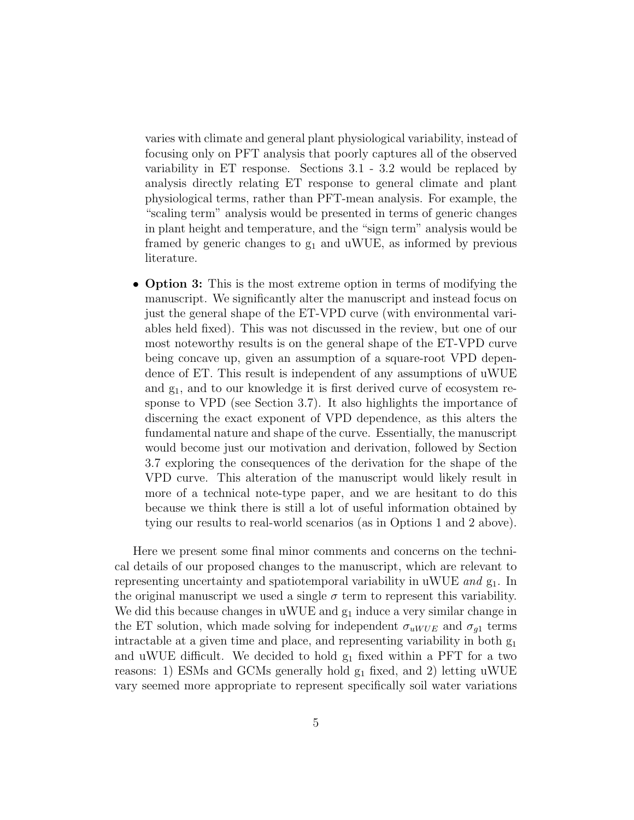varies with climate and general plant physiological variability, instead of focusing only on PFT analysis that poorly captures all of the observed variability in ET response. Sections 3.1 - 3.2 would be replaced by analysis directly relating ET response to general climate and plant physiological terms, rather than PFT-mean analysis. For example, the "scaling term" analysis would be presented in terms of generic changes in plant height and temperature, and the "sign term" analysis would be framed by generic changes to  $g_1$  and uWUE, as informed by previous literature.

• **Option 3:** This is the most extreme option in terms of modifying the manuscript. We significantly alter the manuscript and instead focus on just the general shape of the ET-VPD curve (with environmental variables held fixed). This was not discussed in the review, but one of our most noteworthy results is on the general shape of the ET-VPD curve being concave up, given an assumption of a square-root VPD dependence of ET. This result is independent of any assumptions of uWUE and g1, and to our knowledge it is first derived curve of ecosystem response to VPD (see Section 3.7). It also highlights the importance of discerning the exact exponent of VPD dependence, as this alters the fundamental nature and shape of the curve. Essentially, the manuscript would become just our motivation and derivation, followed by Section 3.7 exploring the consequences of the derivation for the shape of the VPD curve. This alteration of the manuscript would likely result in more of a technical note-type paper, and we are hesitant to do this because we think there is still a lot of useful information obtained by tying our results to real-world scenarios (as in Options 1 and 2 above).

Here we present some final minor comments and concerns on the technical details of our proposed changes to the manuscript, which are relevant to representing uncertainty and spatiotemporal variability in uWUE and  $g_1$ . In the original manuscript we used a single  $\sigma$  term to represent this variability. We did this because changes in uWUE and  $g_1$  induce a very similar change in the ET solution, which made solving for independent  $\sigma_{uWUE}$  and  $\sigma_{q1}$  terms intractable at a given time and place, and representing variability in both g<sup>1</sup> and uWUE difficult. We decided to hold  $g_1$  fixed within a PFT for a two reasons: 1) ESMs and GCMs generally hold  $g_1$  fixed, and 2) letting uWUE vary seemed more appropriate to represent specifically soil water variations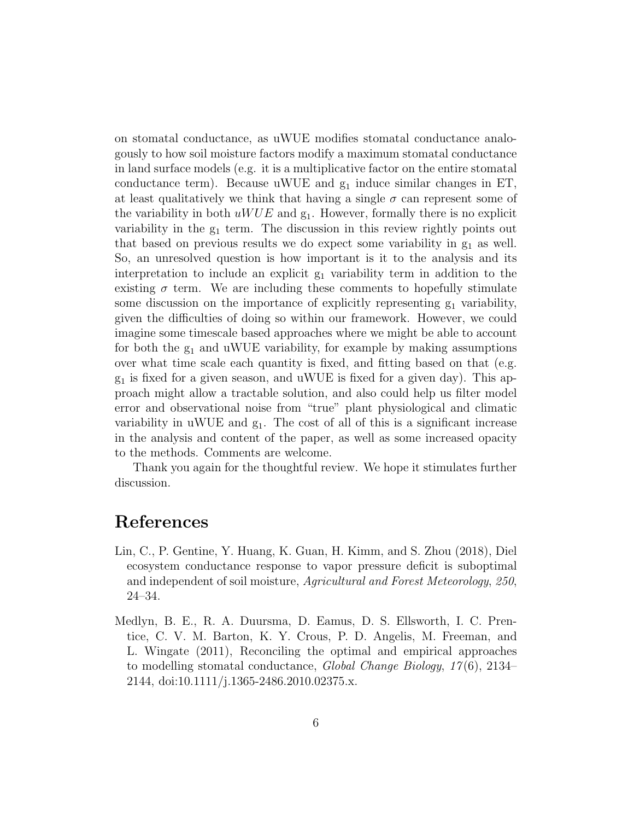on stomatal conductance, as uWUE modifies stomatal conductance analogously to how soil moisture factors modify a maximum stomatal conductance in land surface models (e.g. it is a multiplicative factor on the entire stomatal conductance term). Because uWUE and  $g_1$  induce similar changes in ET, at least qualitatively we think that having a single  $\sigma$  can represent some of the variability in both  $uWUE$  and  $g_1$ . However, formally there is no explicit variability in the  $g_1$  term. The discussion in this review rightly points out that based on previous results we do expect some variability in  $g_1$  as well. So, an unresolved question is how important is it to the analysis and its interpretation to include an explicit  $g_1$  variability term in addition to the existing  $\sigma$  term. We are including these comments to hopefully stimulate some discussion on the importance of explicitly representing  $g_1$  variability, given the difficulties of doing so within our framework. However, we could imagine some timescale based approaches where we might be able to account for both the  $g_1$  and uWUE variability, for example by making assumptions over what time scale each quantity is fixed, and fitting based on that (e.g.  $g_1$  is fixed for a given season, and uWUE is fixed for a given day). This approach might allow a tractable solution, and also could help us filter model error and observational noise from "true" plant physiological and climatic variability in uWUE and  $g_1$ . The cost of all of this is a significant increase in the analysis and content of the paper, as well as some increased opacity to the methods. Comments are welcome.

Thank you again for the thoughtful review. We hope it stimulates further discussion.

## References

- Lin, C., P. Gentine, Y. Huang, K. Guan, H. Kimm, and S. Zhou (2018), Diel ecosystem conductance response to vapor pressure deficit is suboptimal and independent of soil moisture, Agricultural and Forest Meteorology, 250, 24–34.
- Medlyn, B. E., R. A. Duursma, D. Eamus, D. S. Ellsworth, I. C. Prentice, C. V. M. Barton, K. Y. Crous, P. D. Angelis, M. Freeman, and L. Wingate (2011), Reconciling the optimal and empirical approaches to modelling stomatal conductance, Global Change Biology, 17 (6), 2134– 2144, doi:10.1111/j.1365-2486.2010.02375.x.